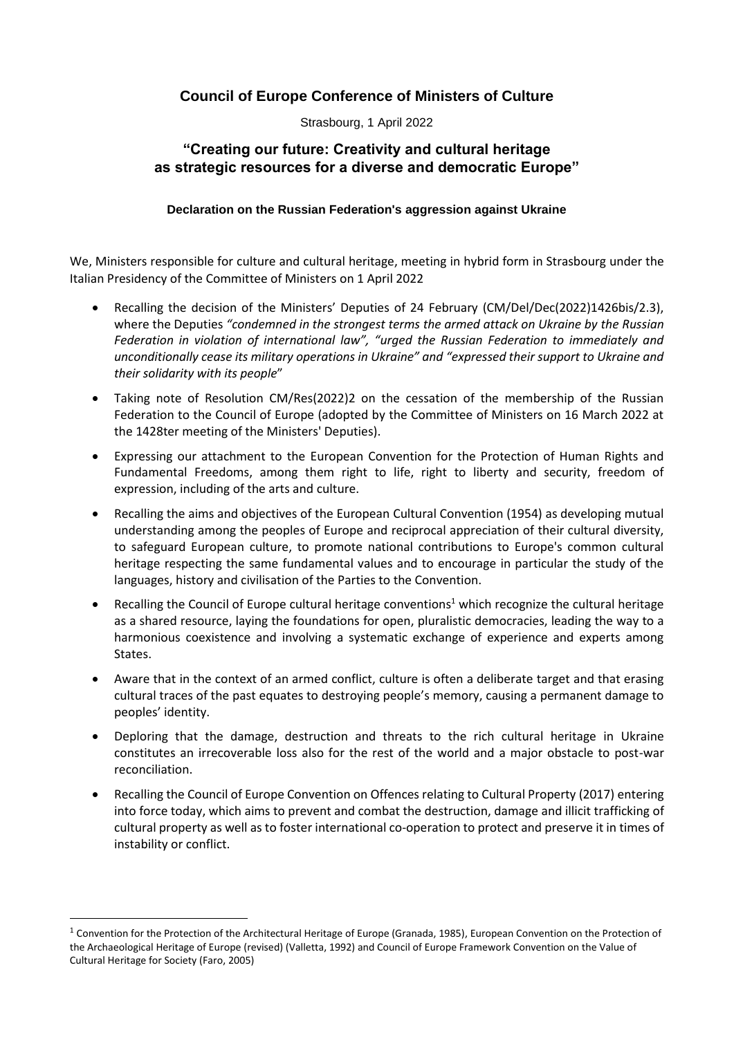## **Council of Europe Conference of Ministers of Culture**

Strasbourg, 1 April 2022

## **"Creating our future: Creativity and cultural heritage as strategic resources for a diverse and democratic Europe"**

## **Declaration on the Russian Federation's aggression against Ukraine**

We, Ministers responsible for culture and cultural heritage, meeting in hybrid form in Strasbourg under the Italian Presidency of the Committee of Ministers on 1 April 2022

- Recalling the decision of the Ministers' Deputies of 24 February (CM/Del/Dec(2022)1426bis/2.3), where the Deputies *"condemned in the strongest terms the armed attack on Ukraine by the Russian Federation in violation of international law", "urged the Russian Federation to immediately and unconditionally cease its military operations in Ukraine" and "expressed their support to Ukraine and their solidarity with its people*"
- Taking note of Resolution CM/Res(2022)2 on the cessation of the membership of the Russian Federation to the Council of Europe (adopted by the Committee of Ministers on 16 March 2022 at the 1428ter meeting of the Ministers' Deputies).
- Expressing our attachment to the European Convention for the Protection of Human Rights and Fundamental Freedoms, among them right to life, right to liberty and security, freedom of expression, including of the arts and culture.
- Recalling the aims and objectives of the European Cultural Convention (1954) as developing mutual understanding among the peoples of Europe and reciprocal appreciation of their cultural diversity, to safeguard European culture, to promote national contributions to Europe's common cultural heritage respecting the same fundamental values and to encourage in particular the study of the languages, history and civilisation of the Parties to the Convention.
- Recalling the Council of Europe cultural heritage conventions<sup>1</sup> which recognize the cultural heritage as a shared resource, laying the foundations for open, pluralistic democracies, leading the way to a harmonious coexistence and involving a systematic exchange of experience and experts among States.
- Aware that in the context of an armed conflict, culture is often a deliberate target and that erasing cultural traces of the past equates to destroying people's memory, causing a permanent damage to peoples' identity.
- Deploring that the damage, destruction and threats to the rich cultural heritage in Ukraine constitutes an irrecoverable loss also for the rest of the world and a major obstacle to post-war reconciliation.
- Recalling the Council of Europe Convention on Offences relating to Cultural Property (2017) entering into force today, which aims to prevent and combat the destruction, damage and illicit trafficking of cultural property as well as to foster international co-operation to protect and preserve it in times of instability or conflict.

 $1$  Convention for the Protection of the Architectural Heritage of Europe (Granada, 1985), European Convention on the Protection of the Archaeological Heritage of Europe (revised) (Valletta, 1992) and Council of Europe Framework Convention on the Value of Cultural Heritage for Society (Faro, 2005)